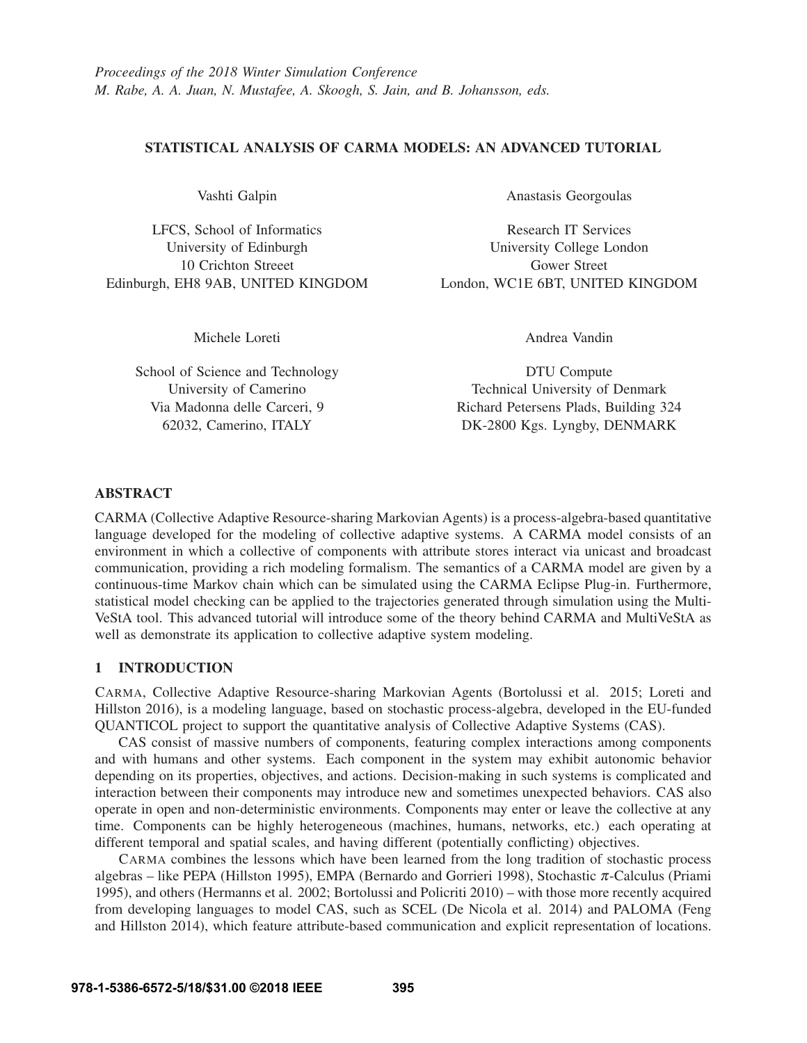## STATISTICAL ANALYSIS OF CARMA MODELS: AN ADVANCED TUTORIAL

Vashti Galpin

LFCS, School of Informatics University of Edinburgh 10 Crichton Streeet Edinburgh, EH8 9AB, UNITED KINGDOM Anastasis Georgoulas

Research IT Services University College London Gower Street London, WC1E 6BT, UNITED KINGDOM

Michele Loreti

School of Science and Technology University of Camerino Via Madonna delle Carceri, 9 62032, Camerino, ITALY

Andrea Vandin

DTU Compute Technical University of Denmark Richard Petersens Plads, Building 324 DK-2800 Kgs. Lyngby, DENMARK

### ABSTRACT

CARMA (Collective Adaptive Resource-sharing Markovian Agents) is a process-algebra-based quantitative language developed for the modeling of collective adaptive systems. A CARMA model consists of an environment in which a collective of components with attribute stores interact via unicast and broadcast communication, providing a rich modeling formalism. The semantics of a CARMA model are given by a continuous-time Markov chain which can be simulated using the CARMA Eclipse Plug-in. Furthermore, statistical model checking can be applied to the trajectories generated through simulation using the Multi-VeStA tool. This advanced tutorial will introduce some of the theory behind CARMA and MultiVeStA as well as demonstrate its application to collective adaptive system modeling.

### 1 INTRODUCTION

CARMA, Collective Adaptive Resource-sharing Markovian Agents (Bortolussi et al. 2015; Loreti and Hillston 2016), is a modeling language, based on stochastic process-algebra, developed in the EU-funded QUANTICOL project to support the quantitative analysis of Collective Adaptive Systems (CAS).

CAS consist of massive numbers of components, featuring complex interactions among components and with humans and other systems. Each component in the system may exhibit autonomic behavior depending on its properties, objectives, and actions. Decision-making in such systems is complicated and interaction between their components may introduce new and sometimes unexpected behaviors. CAS also operate in open and non-deterministic environments. Components may enter or leave the collective at any time. Components can be highly heterogeneous (machines, humans, networks, etc.) each operating at different temporal and spatial scales, and having different (potentially conflicting) objectives.

CARMA combines the lessons which have been learned from the long tradition of stochastic process algebras – like PEPA (Hillston 1995), EMPA (Bernardo and Gorrieri 1998), Stochastic  $\pi$ -Calculus (Priami 1995), and others (Hermanns et al. 2002; Bortolussi and Policriti 2010) – with those more recently acquired from developing languages to model CAS, such as SCEL (De Nicola et al. 2014) and PALOMA (Feng and Hillston 2014), which feature attribute-based communication and explicit representation of locations.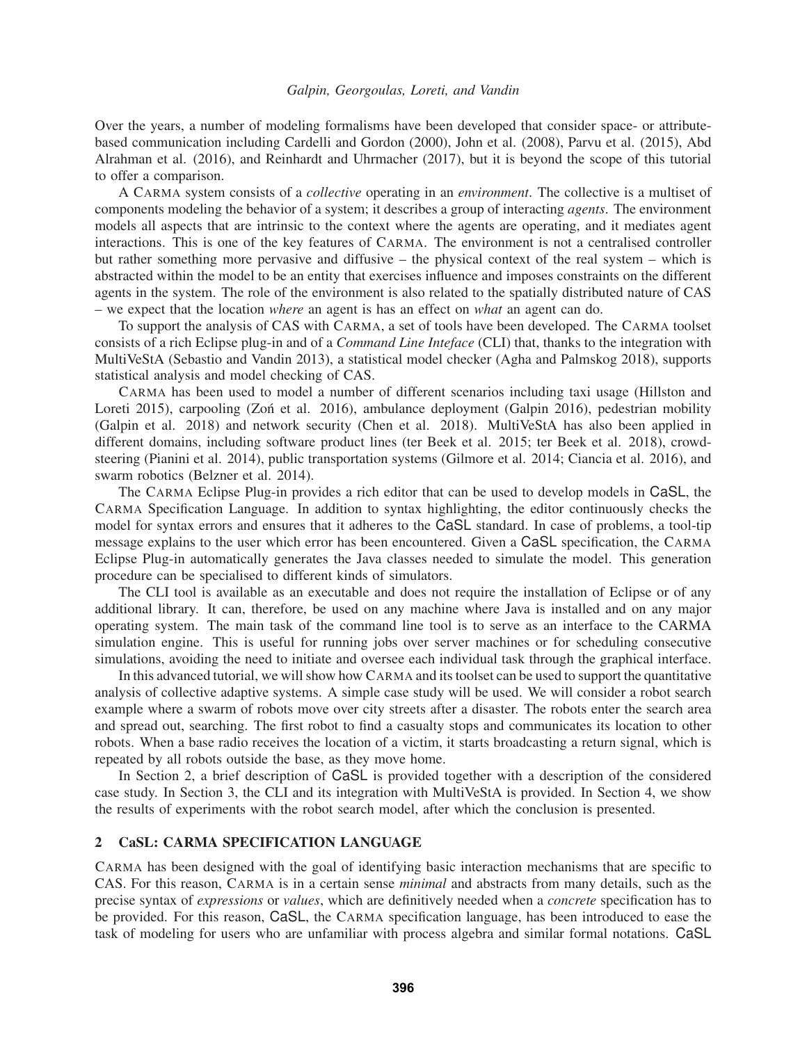#### *Galpin, Georgoulas, Loreti, and Vandin*

Over the years, a number of modeling formalisms have been developed that consider space- or attributebased communication including Cardelli and Gordon (2000), John et al. (2008), Parvu et al. (2015), Abd Alrahman et al. (2016), and Reinhardt and Uhrmacher (2017), but it is beyond the scope of this tutorial to offer a comparison.

A CARMA system consists of a *collective* operating in an *environment*. The collective is a multiset of components modeling the behavior of a system; it describes a group of interacting *agents*. The environment models all aspects that are intrinsic to the context where the agents are operating, and it mediates agent interactions. This is one of the key features of CARMA. The environment is not a centralised controller but rather something more pervasive and diffusive – the physical context of the real system – which is abstracted within the model to be an entity that exercises influence and imposes constraints on the different agents in the system. The role of the environment is also related to the spatially distributed nature of CAS – we expect that the location *where* an agent is has an effect on *what* an agent can do.

To support the analysis of CAS with CARMA, a set of tools have been developed. The CARMA toolset consists of a rich Eclipse plug-in and of a *Command Line Inteface* (CLI) that, thanks to the integration with MultiVeStA (Sebastio and Vandin 2013), a statistical model checker (Agha and Palmskog 2018), supports statistical analysis and model checking of CAS.

CARMA has been used to model a number of different scenarios including taxi usage (Hillston and Loreti 2015), carpooling (Zon et al. 2016), ambulance deployment (Galpin 2016), pedestrian mobility (Galpin et al. 2018) and network security (Chen et al. 2018). MultiVeStA has also been applied in different domains, including software product lines (ter Beek et al. 2015; ter Beek et al. 2018), crowdsteering (Pianini et al. 2014), public transportation systems (Gilmore et al. 2014; Ciancia et al. 2016), and swarm robotics (Belzner et al. 2014).

The CARMA Eclipse Plug-in provides a rich editor that can be used to develop models in CaSL, the CARMA Specification Language. In addition to syntax highlighting, the editor continuously checks the model for syntax errors and ensures that it adheres to the CaSL standard. In case of problems, a tool-tip message explains to the user which error has been encountered. Given a CaSL specification, the CARMA Eclipse Plug-in automatically generates the Java classes needed to simulate the model. This generation procedure can be specialised to different kinds of simulators.

The CLI tool is available as an executable and does not require the installation of Eclipse or of any additional library. It can, therefore, be used on any machine where Java is installed and on any major operating system. The main task of the command line tool is to serve as an interface to the CARMA simulation engine. This is useful for running jobs over server machines or for scheduling consecutive simulations, avoiding the need to initiate and oversee each individual task through the graphical interface.

In this advanced tutorial, we will show how CARMA and its toolset can be used to support the quantitative analysis of collective adaptive systems. A simple case study will be used. We will consider a robot search example where a swarm of robots move over city streets after a disaster. The robots enter the search area and spread out, searching. The first robot to find a casualty stops and communicates its location to other robots. When a base radio receives the location of a victim, it starts broadcasting a return signal, which is repeated by all robots outside the base, as they move home.

In Section 2, a brief description of CaSL is provided together with a description of the considered case study. In Section 3, the CLI and its integration with MultiVeStA is provided. In Section 4, we show the results of experiments with the robot search model, after which the conclusion is presented.

#### 2 CaSL: CARMA SPECIFICATION LANGUAGE

CARMA has been designed with the goal of identifying basic interaction mechanisms that are specific to CAS. For this reason, CARMA is in a certain sense *minimal* and abstracts from many details, such as the precise syntax of *expressions* or *values*, which are definitively needed when a *concrete* specification has to be provided. For this reason, CaSL, the CARMA specification language, has been introduced to ease the task of modeling for users who are unfamiliar with process algebra and similar formal notations. CaSL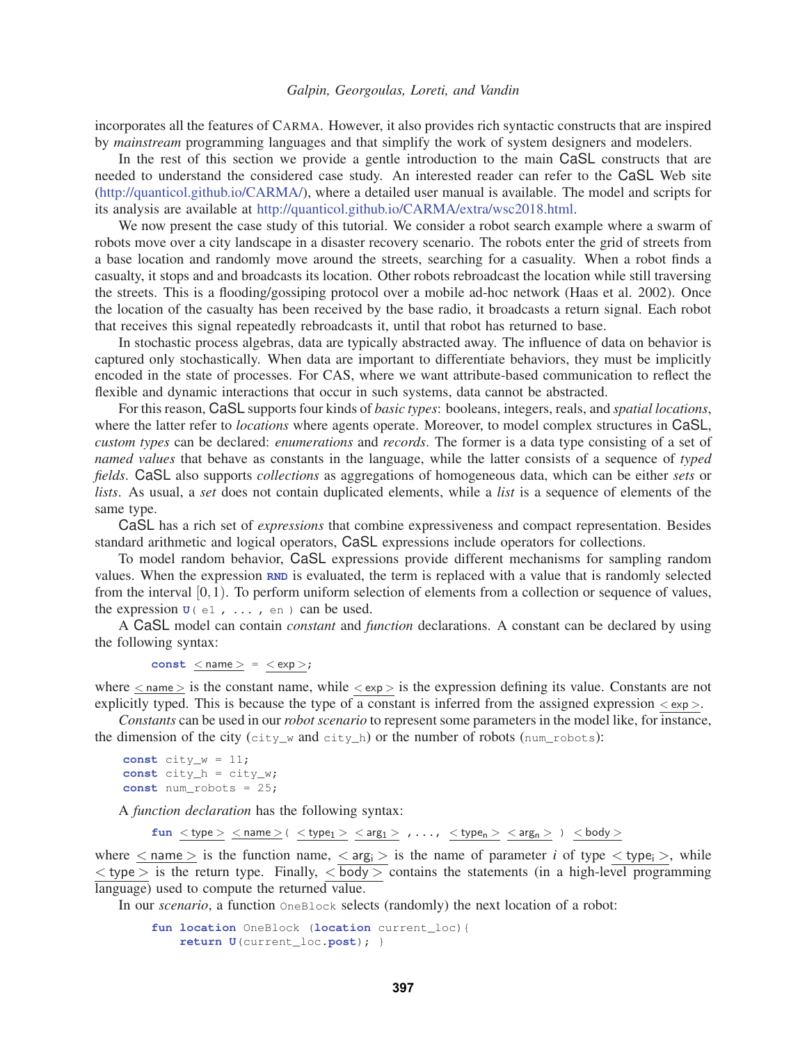#### *Galpin, Georgoulas, Loreti, and Vandin*

incorporates all the features of CARMA. However, it also provides rich syntactic constructs that are inspired by *mainstream* programming languages and that simplify the work of system designers and modelers.

In the rest of this section we provide a gentle introduction to the main CaSL constructs that are needed to understand the considered case study. An interested reader can refer to the CaSL Web site (http://quanticol.github.io/CARMA/), where a detailed user manual is available. The model and scripts for its analysis are available at http://quanticol.github.io/CARMA/extra/wsc2018.html.

We now present the case study of this tutorial. We consider a robot search example where a swarm of robots move over a city landscape in a disaster recovery scenario. The robots enter the grid of streets from a base location and randomly move around the streets, searching for a casuality. When a robot finds a casualty, it stops and and broadcasts its location. Other robots rebroadcast the location while still traversing the streets. This is a flooding/gossiping protocol over a mobile ad-hoc network (Haas et al. 2002). Once the location of the casualty has been received by the base radio, it broadcasts a return signal. Each robot that receives this signal repeatedly rebroadcasts it, until that robot has returned to base.

In stochastic process algebras, data are typically abstracted away. The influence of data on behavior is captured only stochastically. When data are important to differentiate behaviors, they must be implicitly encoded in the state of processes. For CAS, where we want attribute-based communication to reflect the flexible and dynamic interactions that occur in such systems, data cannot be abstracted.

For this reason, CaSL supports four kinds of *basic types*: booleans, integers, reals, and *spatial locations*, where the latter refer to *locations* where agents operate. Moreover, to model complex structures in CaSL, *custom types* can be declared: *enumerations* and *records*. The former is a data type consisting of a set of *named values* that behave as constants in the language, while the latter consists of a sequence of *typed fields*. CaSL also supports *collections* as aggregations of homogeneous data, which can be either *sets* or *lists*. As usual, a *set* does not contain duplicated elements, while a *list* is a sequence of elements of the same type.

CaSL has a rich set of *expressions* that combine expressiveness and compact representation. Besides standard arithmetic and logical operators, CaSL expressions include operators for collections.

To model random behavior, CaSL expressions provide different mechanisms for sampling random values. When the expression **RND** is evaluated, the term is replaced with a value that is randomly selected from the interval [0,1). To perform uniform selection of elements from a collection or sequence of values, the expression  $\mathbf{u}$  (e1, ..., en) can be used.

A CaSL model can contain *constant* and *function* declarations. A constant can be declared by using the following syntax:

```
const \leq name \geq = \lt exp >;
```
where  $\langle$  name  $\rangle$  is the constant name, while  $\langle$  exp  $\rangle$  is the expression defining its value. Constants are not explicitly typed. This is because the type of a constant is inferred from the assigned expression  $\langle \exp \rangle$ .

*Constants* can be used in our *robot scenario* to represent some parameters in the model like, for instance, the dimension of the city (city\_w and city\_h) or the number of robots (num\_robots):

```
const city_w = 11;
const city_h = city_w;
const num_robots = 25;
```
A *function declaration* has the following syntax:

 $\texttt{fun} \lt \texttt{type} > \underline{\lt \texttt{name}} \gt ( \lt \texttt{type}_1 > \lt \texttt{arg}_1 > \ldots, \lt \texttt{type}_n > \lt \texttt{arg}_n > ) \lt \texttt{body} >$ 

where  $\leq$  name  $>$  is the function name,  $\leq$  arg<sub>i</sub>  $>$  is the name of parameter *i* of type  $\leq$  type<sub>i</sub>  $>$ , while  $\langle$  type  $>$  is the return type. Finally,  $\langle$  body  $>$  contains the statements (in a high-level programming language) used to compute the returned value.

In our *scenario*, a function OneBlock selects (randomly) the next location of a robot:

```
fun location OneBlock (location current_loc){
   return U(current_loc.post); }
```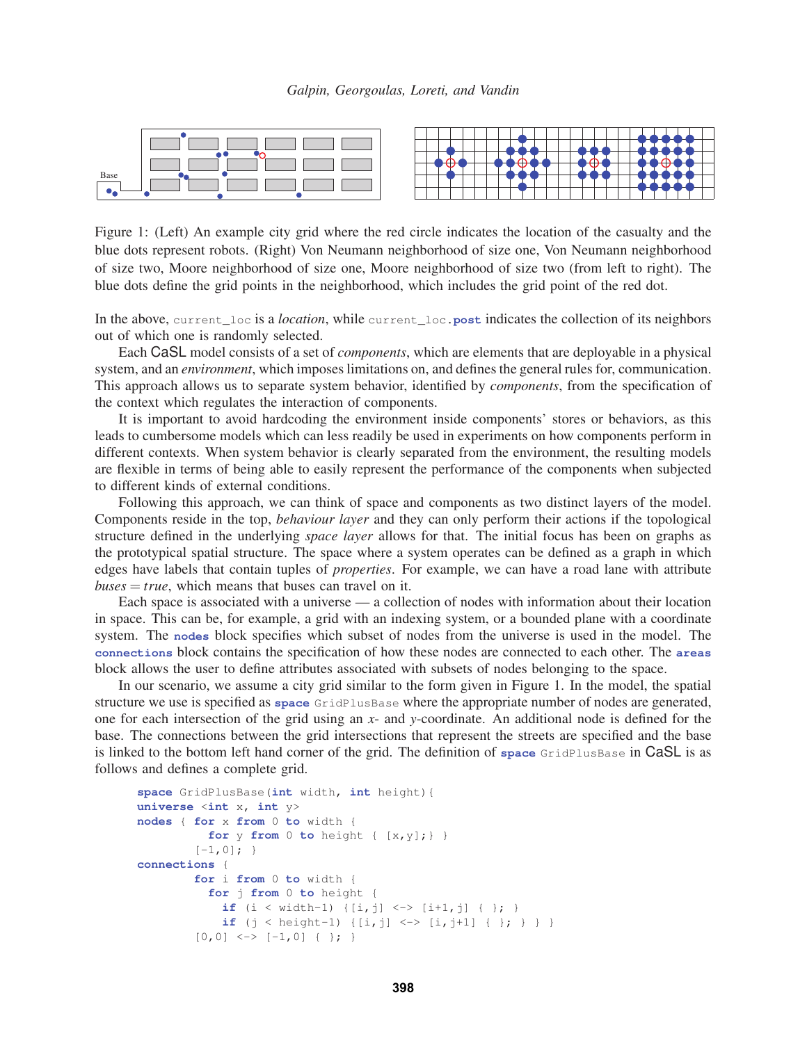



Figure 1: (Left) An example city grid where the red circle indicates the location of the casualty and the blue dots represent robots. (Right) Von Neumann neighborhood of size one, Von Neumann neighborhood of size two, Moore neighborhood of size one, Moore neighborhood of size two (from left to right). The blue dots define the grid points in the neighborhood, which includes the grid point of the red dot.

In the above, current\_loc is a *location*, while current\_loc.**post** indicates the collection of its neighbors out of which one is randomly selected.

Each CaSL model consists of a set of *components*, which are elements that are deployable in a physical system, and an *environment*, which imposes limitations on, and defines the general rules for, communication. This approach allows us to separate system behavior, identified by *components*, from the specification of the context which regulates the interaction of components.

It is important to avoid hardcoding the environment inside components' stores or behaviors, as this leads to cumbersome models which can less readily be used in experiments on how components perform in different contexts. When system behavior is clearly separated from the environment, the resulting models are flexible in terms of being able to easily represent the performance of the components when subjected to different kinds of external conditions.

Following this approach, we can think of space and components as two distinct layers of the model. Components reside in the top, *behaviour layer* and they can only perform their actions if the topological structure defined in the underlying *space layer* allows for that. The initial focus has been on graphs as the prototypical spatial structure. The space where a system operates can be defined as a graph in which edges have labels that contain tuples of *properties*. For example, we can have a road lane with attribute  $buses = true$ , which means that buses can travel on it.

Each space is associated with a universe — a collection of nodes with information about their location in space. This can be, for example, a grid with an indexing system, or a bounded plane with a coordinate system. The **nodes** block specifies which subset of nodes from the universe is used in the model. The **connections** block contains the specification of how these nodes are connected to each other. The **areas** block allows the user to define attributes associated with subsets of nodes belonging to the space.

In our scenario, we assume a city grid similar to the form given in Figure 1. In the model, the spatial structure we use is specified as **space** GridPlusBase where the appropriate number of nodes are generated, one for each intersection of the grid using an *x*- and *y*-coordinate. An additional node is defined for the base. The connections between the grid intersections that represent the streets are specified and the base is linked to the bottom left hand corner of the grid. The definition of **space** GridPlusBase in CaSL is as follows and defines a complete grid.

```
space GridPlusBase(int width, int height){
universe <int x, int y>
nodes { for x from 0 to width {
           for y from 0 to height { [x,y];} }
         [-1,0]; }
connections {
         for i from 0 to width {
           for j from 0 to height {
             if (i \lt width-1) \{[i,j] \lt -\gt [i+1,j] \{ \}if (j < \text{height-1}) \{[i, j] < \rightarrow [i, j+1] \{ \}; \} \}[0,0] \leq > [-1,0] \{ \}
```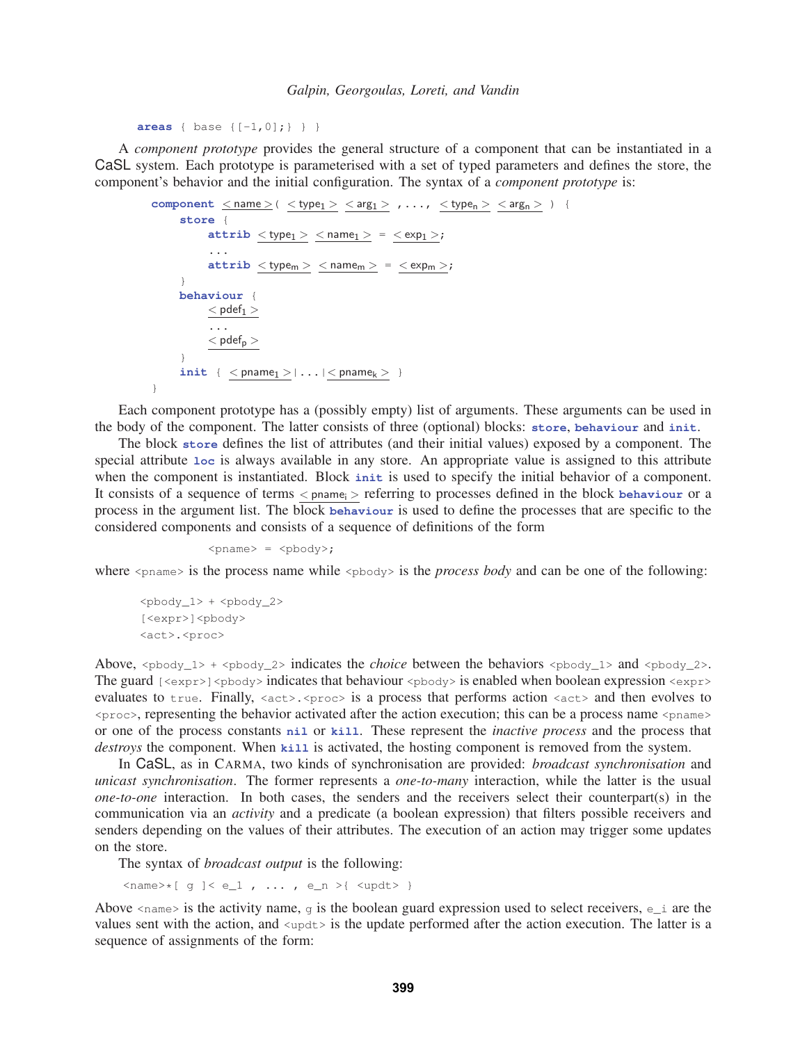**areas** { base {[-1,0];} } }

A *component prototype* provides the general structure of a component that can be instantiated in a CaSL system. Each prototype is parameterised with a set of typed parameters and defines the store, the component's behavior and the initial configuration. The syntax of a *component prototype* is:

```
component \langle name \rangle ( \langle type<sub>1</sub> \rangle \langle arg<sub>1</sub> \rangle , ..., \langle type<sub>n</sub> \rangle \langle arg<sub>n</sub> \rangle ) {
         store {
                   \texttt{attribute} < \texttt{type}_1 > \lt name<sub>1</sub> > = \lt exp<sub>1</sub> >;
                    ...
                   \texttt{attrib} < \text{type}_m > \text{name}_m > \text{space} = \text{exp}_m >;
          }
         behaviour {
                   < pdef<sub>1</sub>>...
                    < pdef<sub>p</sub>>}
         \texttt{init} { \langle pname<sub>1</sub> > | \ldots | \langle pname<sub>k</sub> > }
}
```
Each component prototype has a (possibly empty) list of arguments. These arguments can be used in the body of the component. The latter consists of three (optional) blocks: **store**, **behaviour** and **init**.

The block **store** defines the list of attributes (and their initial values) exposed by a component. The special attribute **loc** is always available in any store. An appropriate value is assigned to this attribute when the component is instantiated. Block **init** is used to specify the initial behavior of a component. It consists of a sequence of terms < pname<sub>i</sub> > referring to processes defined in the block **behaviour** or a process in the argument list. The block **behaviour** is used to define the processes that are specific to the considered components and consists of a sequence of definitions of the form

 $\langle$ pname> =  $\langle$ pbody>;

where  $\epsilon_{\text{pname}}$  is the process name while  $\epsilon_{\text{pbody}}$  is the *process body* and can be one of the following:

```
<pbody_1> + <pbody_2>
[<expr>]<pbody>
<act>.<proc>
```
Above,  $\langle \text{pbody}_1 \rangle$  +  $\langle \text{pbody}_2 \rangle$  indicates the *choice* between the behaviors  $\langle \text{pbody}_1 \rangle$  and  $\langle \text{pbody}_2 \rangle$ . The guard [<expr>]<pbody> indicates that behaviour <pbody> is enabled when boolean expression <expr> evaluates to true. Finally,  $\langle \text{act} \rangle$ ,  $\langle \text{proc} \rangle$  is a process that performs action  $\langle \text{act} \rangle$  and then evolves to  $<$ proc $>$ , representing the behavior activated after the action execution; this can be a process name  $<$ pname $>$ or one of the process constants **nil** or **kill**. These represent the *inactive process* and the process that *destroys* the component. When **kill** is activated, the hosting component is removed from the system.

In CaSL, as in CARMA, two kinds of synchronisation are provided: *broadcast synchronisation* and *unicast synchronisation*. The former represents a *one-to-many* interaction, while the latter is the usual *one-to-one* interaction. In both cases, the senders and the receivers select their counterpart(s) in the communication via an *activity* and a predicate (a boolean expression) that filters possible receivers and senders depending on the values of their attributes. The execution of an action may trigger some updates on the store.

The syntax of *broadcast output* is the following:

 $\langle$ name>\*[ g ] $\langle$  e\_1 , ..., e\_n >{  $\langle$ updt> }

Above  $\langle$  name is the activity name, q is the boolean guard expression used to select receivers, e\_i are the values sent with the action, and  $\langle u, \rangle$  is the update performed after the action execution. The latter is a sequence of assignments of the form: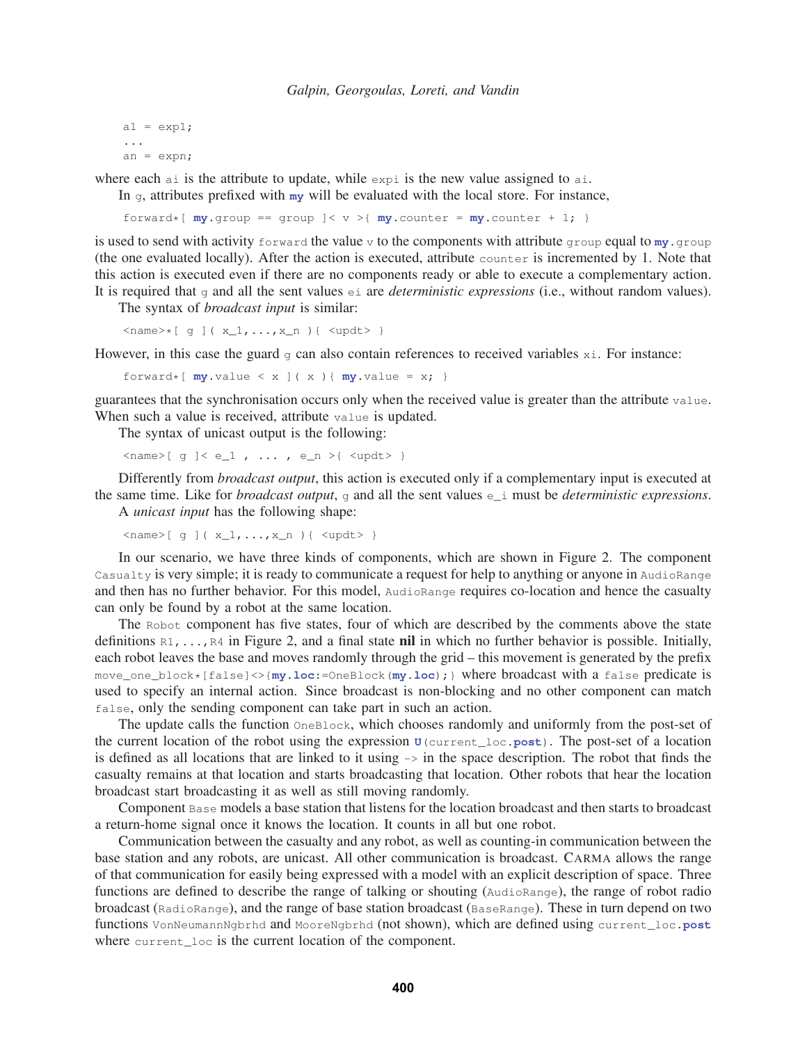```
a1 = exp1;...
an = expn;
```
where each ai is the attribute to update, while  $\exp i$  is the new value assigned to ai.

In g, attributes prefixed with **my** will be evaluated with the local store. For instance,

forward\*[ $my.group$  == group  $\vert < v > \vert my.counter = my.counter + 1; \vert$ 

is used to send with activity forward the value v to the components with attribute group equal to  $m_y$ .group (the one evaluated locally). After the action is executed, attribute counter is incremented by 1. Note that this action is executed even if there are no components ready or able to execute a complementary action. It is required that  $\sigma$  and all the sent values  $\epsilon$  i are *deterministic expressions* (i.e., without random values).

The syntax of *broadcast input* is similar:

 $\langle$ name>\*[ g ]( x\_1,..., x\_n ){  $\langle$ updt> }

However, in this case the guard  $g$  can also contain references to received variables  $x_i$ . For instance:

forward\*[ $my.value < x$  ]( $x$ ){ $my.value = x;$ }

guarantees that the synchronisation occurs only when the received value is greater than the attribute value. When such a value is received, attribute value is updated.

The syntax of unicast output is the following:

 $\langle \text{name} \rangle$  [ g ]  $\langle$  e\_1 , ... , e\_n  $\rangle$  {  $\langle$  updt $\rangle$  }

Differently from *broadcast output*, this action is executed only if a complementary input is executed at the same time. Like for *broadcast output*, g and all the sent values e\_i must be *deterministic expressions*.

A *unicast input* has the following shape:

 $\langle \text{name} \rangle$  [ g ]( x\_1, ..., x\_n ) {  $\langle \text{update} \rangle$  }

In our scenario, we have three kinds of components, which are shown in Figure 2. The component Casualty is very simple; it is ready to communicate a request for help to anything or anyone in AudioRange and then has no further behavior. For this model, AudioRange requires co-location and hence the casualty can only be found by a robot at the same location.

The Robot component has five states, four of which are described by the comments above the state definitions  $R_1, \ldots, R_4$  in Figure 2, and a final state nil in which no further behavior is possible. Initially, each robot leaves the base and moves randomly through the grid – this movement is generated by the prefix move\_one\_block\*[false]<>{**my**.**loc**:=OneBlock(**my**.**loc**);} where broadcast with a false predicate is used to specify an internal action. Since broadcast is non-blocking and no other component can match false, only the sending component can take part in such an action.

The update calls the function OneBlock, which chooses randomly and uniformly from the post-set of the current location of the robot using the expression **U**(current\_loc.**post**). The post-set of a location is defined as all locations that are linked to it using  $\rightarrow$  in the space description. The robot that finds the casualty remains at that location and starts broadcasting that location. Other robots that hear the location broadcast start broadcasting it as well as still moving randomly.

Component Base models a base station that listens for the location broadcast and then starts to broadcast a return-home signal once it knows the location. It counts in all but one robot.

Communication between the casualty and any robot, as well as counting-in communication between the base station and any robots, are unicast. All other communication is broadcast. CARMA allows the range of that communication for easily being expressed with a model with an explicit description of space. Three functions are defined to describe the range of talking or shouting (AudioRange), the range of robot radio broadcast (RadioRange), and the range of base station broadcast (BaseRange). These in turn depend on two functions VonNeumannNgbrhd and MooreNgbrhd (not shown), which are defined using current\_loc.**post** where current loc is the current location of the component.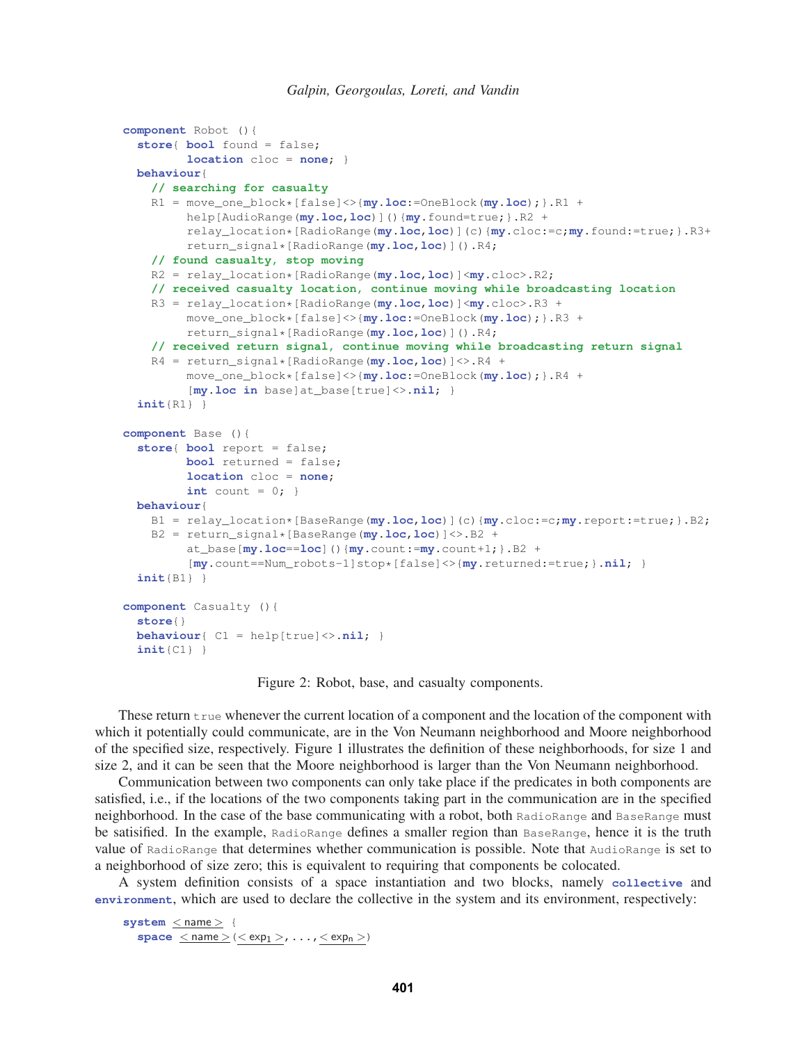```
component Robot (){
  store{ bool found = false;
         location cloc = none; }
 behaviour{
   // searching for casualty
   R1 = move_one_block*[false]<>{my.loc:=OneBlock(my.loc);}.R1 +
        help[AudioRange(my.loc,loc)](){my.found=true;}.R2 +
         relay_location*[RadioRange(my.loc,loc)](c){my.cloc:=c;my.found:=true;}.R3+
         return_signal*[RadioRange(my.loc,loc)]().R4;
   // found casualty, stop moving
   R2 = relay_location*[RadioRange(my.loc,loc)]<my.cloc>.R2;
   // received casualty location, continue moving while broadcasting location
   R3 = relay_location*[RadioRange(my.loc,loc)]<my.cloc>.R3 +
        move_one_block*[false]<>{my.loc:=OneBlock(my.loc);}.R3 +
         return_signal*[RadioRange(my.loc,loc)]().R4;
   // received return signal, continue moving while broadcasting return signal
   R4 = return_signal*[RadioRange(my.loc,loc)]<>.R4 +
         move_one_block*[false]<>{my.loc:=OneBlock(my.loc);}.R4 +
         [my.loc in base]at_base[true]<>.nil; }
 init{R1} }
component Base (){
  store{ bool report = false;
        bool returned = false;
         location cloc = none;
        int count = 0;behaviour{
   B1 = relay_location*[BaseRange(my.loc,loc)](c){my.cloc:=c;my.report:=true;}.B2;
   B2 = return_signal*[BaseRange(my.loc,loc)]<>.B2 +
         at_base[my.loc==loc](){my.count:=my.count+1;}.B2 +
         [my.count==Num_robots-1]stop*[false]<>{my.returned:=true;}.nil; }
 init{B1} }
component Casualty (){
 store{}
 behaviour{ C1 = help[true]<>.nil; }
  init{C1} }
```
Figure 2: Robot, base, and casualty components.

These return true whenever the current location of a component and the location of the component with which it potentially could communicate, are in the Von Neumann neighborhood and Moore neighborhood of the specified size, respectively. Figure 1 illustrates the definition of these neighborhoods, for size 1 and size 2, and it can be seen that the Moore neighborhood is larger than the Von Neumann neighborhood.

Communication between two components can only take place if the predicates in both components are satisfied, i.e., if the locations of the two components taking part in the communication are in the specified neighborhood. In the case of the base communicating with a robot, both RadioRange and BaseRange must be satisified. In the example, RadioRange defines a smaller region than BaseRange, hence it is the truth value of RadioRange that determines whether communication is possible. Note that AudioRange is set to a neighborhood of size zero; this is equivalent to requiring that components be colocated.

A system definition consists of a space instantiation and two blocks, namely **collective** and **environment**, which are used to declare the collective in the system and its environment, respectively:

```
system < name > {
    \texttt{space} \leq \texttt{name} > (<\texttt{exp}_1> , \ldots, <\texttt{exp}_n>)
```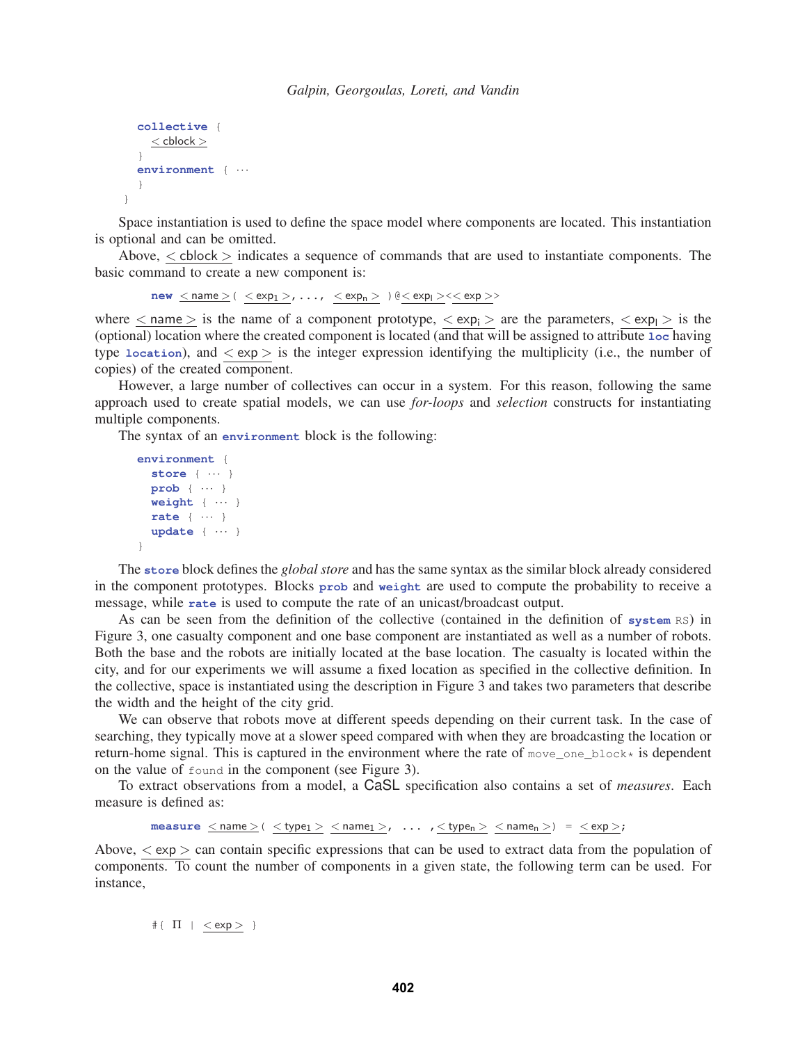```
collective {
  \leq cblock >}
environment { ···
}
```
}

Space instantiation is used to define the space model where components are located. This instantiation is optional and can be omitted.

Above,  $\lt$  cblock  $>$  indicates a sequence of commands that are used to instantiate components. The basic command to create a new component is:

 $new \leq name > ( \leq exp_1 >, \ldots, \leq exp_n >) @ << exp >$ 

where  $\langle$  name  $\rangle$  is the name of a component prototype,  $\langle \exp_i \rangle$  are the parameters,  $\langle \exp_i \rangle$  is the (optional) location where the created component is located (and that will be assigned to attribute **loc** having type **location**), and  $\langle \exp \rangle$  is the integer expression identifying the multiplicity (i.e., the number of copies) of the created component.

However, a large number of collectives can occur in a system. For this reason, following the same approach used to create spatial models, we can use *for-loops* and *selection* constructs for instantiating multiple components.

The syntax of an **environment** block is the following:

```
environment {
 store { ··· }
 prob { ··· }
 weight { ··· }
 rate { ··· }
  update { ··· }
}
```
The **store** block defines the *global store* and has the same syntax as the similar block already considered in the component prototypes. Blocks **prob** and **weight** are used to compute the probability to receive a message, while **rate** is used to compute the rate of an unicast/broadcast output.

As can be seen from the definition of the collective (contained in the definition of **system** RS) in Figure 3, one casualty component and one base component are instantiated as well as a number of robots. Both the base and the robots are initially located at the base location. The casualty is located within the city, and for our experiments we will assume a fixed location as specified in the collective definition. In the collective, space is instantiated using the description in Figure 3 and takes two parameters that describe the width and the height of the city grid.

We can observe that robots move at different speeds depending on their current task. In the case of searching, they typically move at a slower speed compared with when they are broadcasting the location or return-home signal. This is captured in the environment where the rate of move\_one\_block\* is dependent on the value of found in the component (see Figure 3).

To extract observations from a model, a CaSL specification also contains a set of *measures*. Each measure is defined as:

```
\texttt{measure}~\textcolor{red}{\leq}\texttt{name}>~(<\texttt{type}_1>~\textcolor{red}{\leq}\texttt{name}_1>~,\hspace{0.1cm} \ldots ~\textcolor{red}{\ ,}<\texttt{type}_n>~<\texttt{name}_n>)~=~<\texttt{exp}>~;
```
Above,  $\langle \exp \rangle$  can contain specific expressions that can be used to extract data from the population of components. To count the number of components in a given state, the following term can be used. For instance,

 $\texttt{\#} \{ \ \ \Pi \ \mid \ \texttt{}} \ \ \}$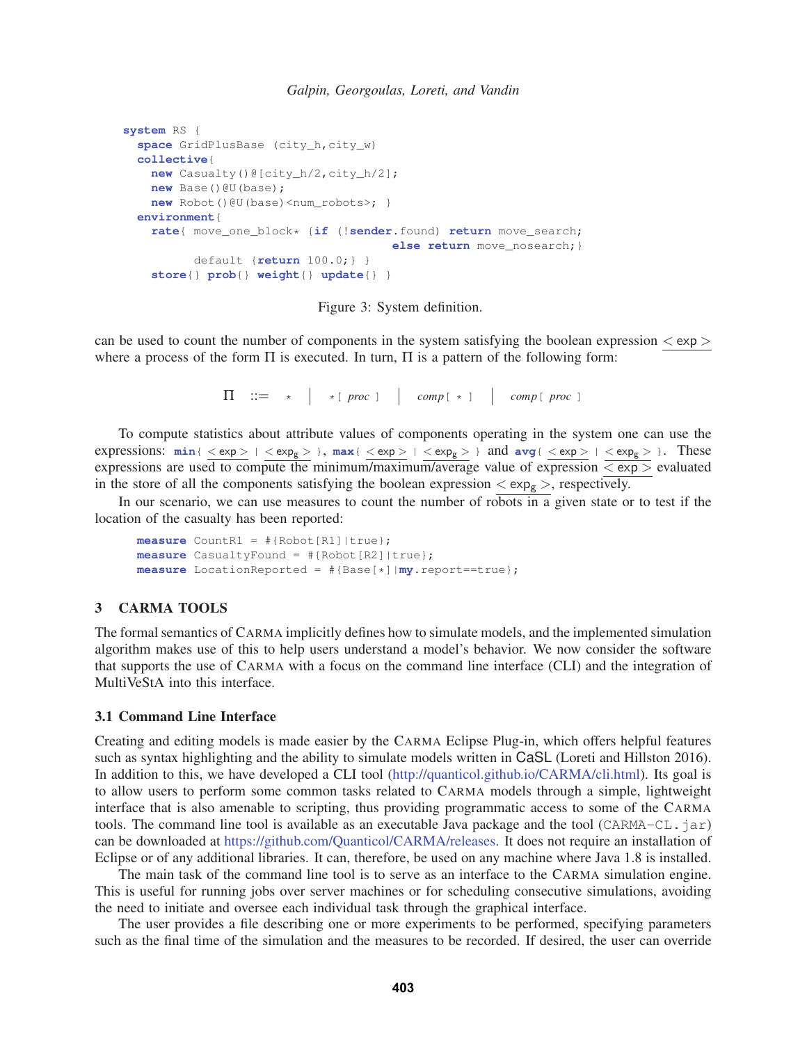```
system RS {
  space GridPlusBase (city_h,city_w)
  collective{
   new Casualty()@[city_h/2,city_h/2];
   new Base()@U(base);
   new Robot()@U(base)<num_robots>; }
  environment{
    rate{ move_one_block* {if (!sender.found) return move_search;
                                      else return move_nosearch; }
          default {return 100.0;} }
    store{} prob{} weight{} update{} }
```
Figure 3: System definition.

can be used to count the number of components in the system satisfying the boolean expression  $\langle$  exp  $\rangle$ where a process of the form  $\Pi$  is executed. In turn,  $\Pi$  is a pattern of the following form:

 $\Pi$  ::= \* | \*[proc ] | comp[ \* ] | comp[proc ]

To compute statistics about attribute values of components operating in the system one can use the expressions:  $min\{ \frac{<\exp>}{>} | < \exp_g>$ },  $max\{ \frac{<\exp>}{>} | < \exp_g>$ } and  $avg\{ <\exp>{}| < \exp_g>$ }. These expressions are used to compute the minimum/maximum/average value of expression  $\overline{< \exp>}$  evaluated in the store of all the components satisfying the boolean expression  $\langle exp_{g} \rangle$ , respectively.

In our scenario, we can use measures to count the number of robots in a given state or to test if the location of the casualty has been reported:

**measure** CountR1 = #{Robot[R1]|true}; **measure** CasualtyFound = #{Robot[R2]|true}; **measure** LocationReported = #{Base[\*]|**my**.report==true};

### 3 CARMA TOOLS

The formal semantics of CARMA implicitly defines how to simulate models, and the implemented simulation algorithm makes use of this to help users understand a model's behavior. We now consider the software that supports the use of CARMA with a focus on the command line interface (CLI) and the integration of MultiVeStA into this interface.

#### 3.1 Command Line Interface

Creating and editing models is made easier by the CARMA Eclipse Plug-in, which offers helpful features such as syntax highlighting and the ability to simulate models written in CaSL (Loreti and Hillston 2016). In addition to this, we have developed a CLI tool (http://quanticol.github.io/CARMA/cli.html). Its goal is to allow users to perform some common tasks related to CARMA models through a simple, lightweight interface that is also amenable to scripting, thus providing programmatic access to some of the CARMA tools. The command line tool is available as an executable Java package and the tool (CARMA-CL.jar) can be downloaded at https://github.com/Quanticol/CARMA/releases. It does not require an installation of Eclipse or of any additional libraries. It can, therefore, be used on any machine where Java 1.8 is installed.

The main task of the command line tool is to serve as an interface to the CARMA simulation engine. This is useful for running jobs over server machines or for scheduling consecutive simulations, avoiding the need to initiate and oversee each individual task through the graphical interface.

The user provides a file describing one or more experiments to be performed, specifying parameters such as the final time of the simulation and the measures to be recorded. If desired, the user can override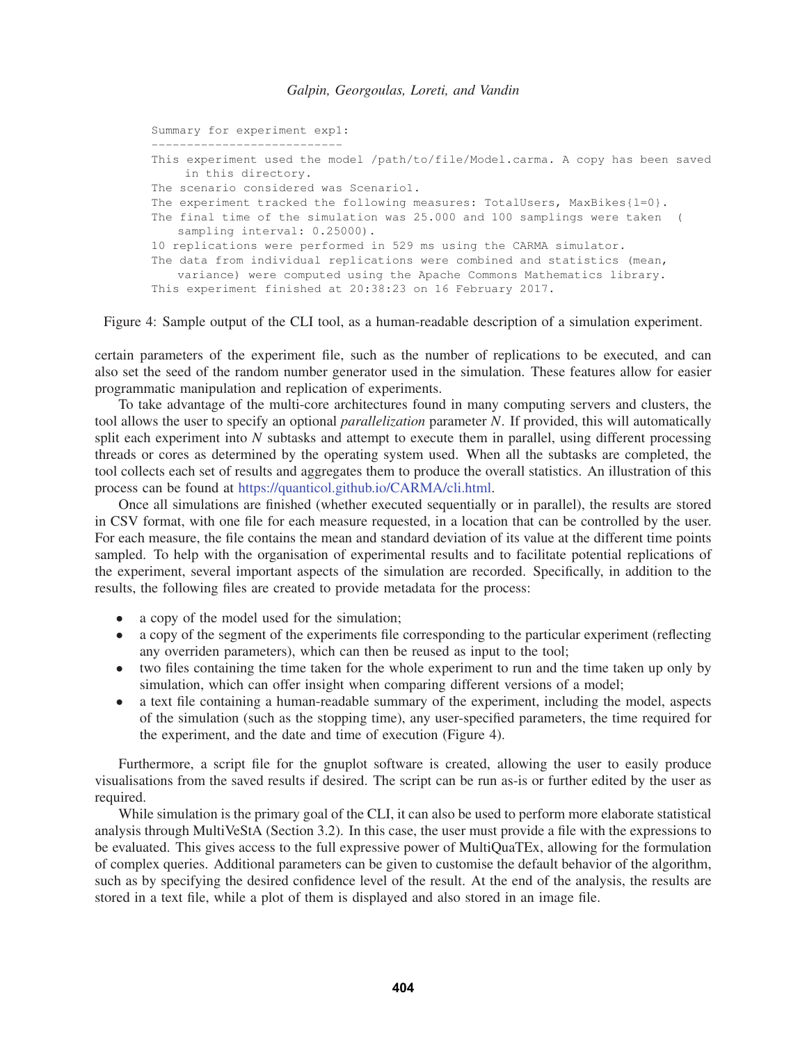```
Summary for experiment exp1:
       ---------------------------
This experiment used the model /path/to/file/Model.carma. A copy has been saved
    in this directory.
The scenario considered was Scenario1.
The experiment tracked the following measures: TotalUsers, MaxBikes\{1=0\}.
The final time of the simulation was 25.000 and 100 samplings were taken (
   sampling interval: 0.25000).
10 replications were performed in 529 ms using the CARMA simulator.
The data from individual replications were combined and statistics (mean,
   variance) were computed using the Apache Commons Mathematics library.
This experiment finished at 20:38:23 on 16 February 2017.
```
Figure 4: Sample output of the CLI tool, as a human-readable description of a simulation experiment.

certain parameters of the experiment file, such as the number of replications to be executed, and can also set the seed of the random number generator used in the simulation. These features allow for easier programmatic manipulation and replication of experiments.

To take advantage of the multi-core architectures found in many computing servers and clusters, the tool allows the user to specify an optional *parallelization* parameter *N*. If provided, this will automatically split each experiment into *N* subtasks and attempt to execute them in parallel, using different processing threads or cores as determined by the operating system used. When all the subtasks are completed, the tool collects each set of results and aggregates them to produce the overall statistics. An illustration of this process can be found at https://quanticol.github.io/CARMA/cli.html.

Once all simulations are finished (whether executed sequentially or in parallel), the results are stored in CSV format, with one file for each measure requested, in a location that can be controlled by the user. For each measure, the file contains the mean and standard deviation of its value at the different time points sampled. To help with the organisation of experimental results and to facilitate potential replications of the experiment, several important aspects of the simulation are recorded. Specifically, in addition to the results, the following files are created to provide metadata for the process:

- a copy of the model used for the simulation;
- a copy of the segment of the experiments file corresponding to the particular experiment (reflecting any overriden parameters), which can then be reused as input to the tool;
- two files containing the time taken for the whole experiment to run and the time taken up only by simulation, which can offer insight when comparing different versions of a model;
- a text file containing a human-readable summary of the experiment, including the model, aspects of the simulation (such as the stopping time), any user-specified parameters, the time required for the experiment, and the date and time of execution (Figure 4).

Furthermore, a script file for the gnuplot software is created, allowing the user to easily produce visualisations from the saved results if desired. The script can be run as-is or further edited by the user as required.

While simulation is the primary goal of the CLI, it can also be used to perform more elaborate statistical analysis through MultiVeStA (Section 3.2). In this case, the user must provide a file with the expressions to be evaluated. This gives access to the full expressive power of MultiQuaTEx, allowing for the formulation of complex queries. Additional parameters can be given to customise the default behavior of the algorithm, such as by specifying the desired confidence level of the result. At the end of the analysis, the results are stored in a text file, while a plot of them is displayed and also stored in an image file.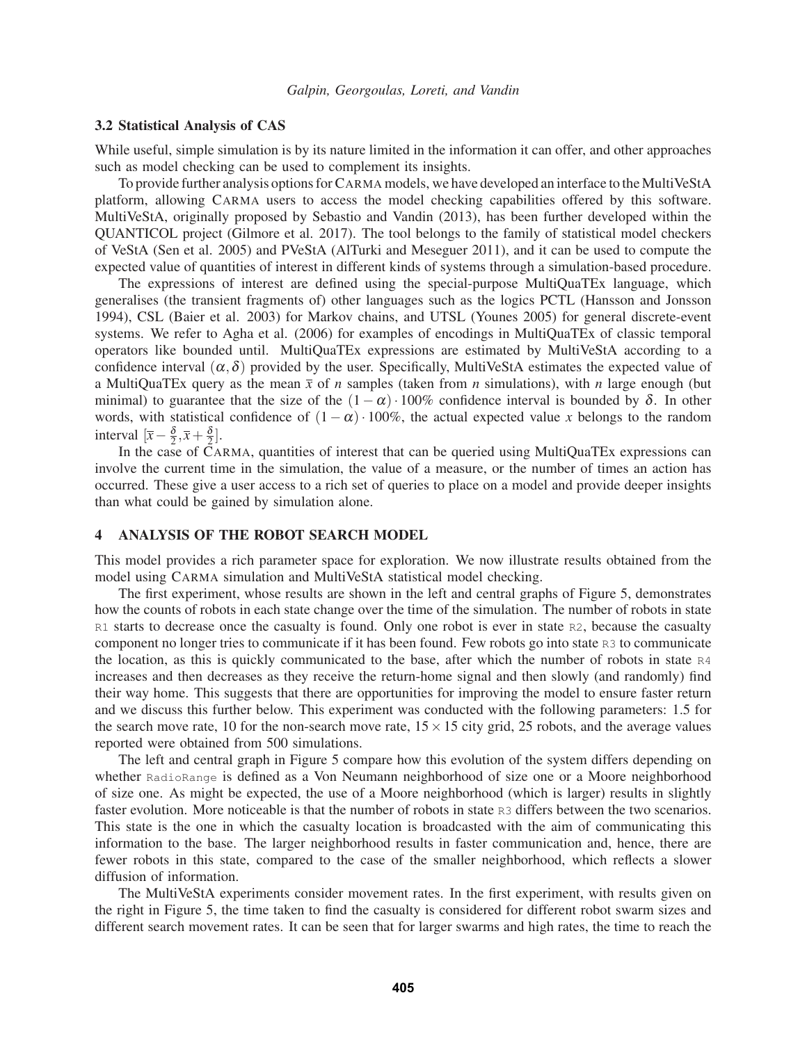#### 3.2 Statistical Analysis of CAS

While useful, simple simulation is by its nature limited in the information it can offer, and other approaches such as model checking can be used to complement its insights.

To provide further analysis options for CARMA models, we have developed an interface to the MultiVeStA platform, allowing CARMA users to access the model checking capabilities offered by this software. MultiVeStA, originally proposed by Sebastio and Vandin (2013), has been further developed within the QUANTICOL project (Gilmore et al. 2017). The tool belongs to the family of statistical model checkers of VeStA (Sen et al. 2005) and PVeStA (AlTurki and Meseguer 2011), and it can be used to compute the expected value of quantities of interest in different kinds of systems through a simulation-based procedure.

The expressions of interest are defined using the special-purpose MultiQuaTEx language, which generalises (the transient fragments of) other languages such as the logics PCTL (Hansson and Jonsson 1994), CSL (Baier et al. 2003) for Markov chains, and UTSL (Younes 2005) for general discrete-event systems. We refer to Agha et al. (2006) for examples of encodings in MultiQuaTEx of classic temporal operators like bounded until. MultiQuaTEx expressions are estimated by MultiVeStA according to a confidence interval  $(\alpha, \delta)$  provided by the user. Specifically, MultiVeStA estimates the expected value of a MultiQuaTEx query as the mean  $\bar{x}$  of *n* samples (taken from *n* simulations), with *n* large enough (but minimal) to guarantee that the size of the  $(1-\alpha) \cdot 100\%$  confidence interval is bounded by  $\delta$ . In other words, with statistical confidence of  $(1 - \alpha) \cdot 100\%$ , the actual expected value *x* belongs to the random interval  $\left[\overline{x} - \frac{\delta}{2}, \overline{x} + \frac{\delta}{2}\right]$ .

In the case of CARMA, quantities of interest that can be queried using MultiQuaTEx expressions can involve the current time in the simulation, the value of a measure, or the number of times an action has occurred. These give a user access to a rich set of queries to place on a model and provide deeper insights than what could be gained by simulation alone.

#### 4 ANALYSIS OF THE ROBOT SEARCH MODEL

This model provides a rich parameter space for exploration. We now illustrate results obtained from the model using CARMA simulation and MultiVeStA statistical model checking.

The first experiment, whose results are shown in the left and central graphs of Figure 5, demonstrates how the counts of robots in each state change over the time of the simulation. The number of robots in state R1 starts to decrease once the casualty is found. Only one robot is ever in state R2, because the casualty component no longer tries to communicate if it has been found. Few robots go into state R3 to communicate the location, as this is quickly communicated to the base, after which the number of robots in state R4 increases and then decreases as they receive the return-home signal and then slowly (and randomly) find their way home. This suggests that there are opportunities for improving the model to ensure faster return and we discuss this further below. This experiment was conducted with the following parameters: 1.5 for the search move rate, 10 for the non-search move rate,  $15 \times 15$  city grid, 25 robots, and the average values reported were obtained from 500 simulations.

The left and central graph in Figure 5 compare how this evolution of the system differs depending on whether RadioRange is defined as a Von Neumann neighborhood of size one or a Moore neighborhood of size one. As might be expected, the use of a Moore neighborhood (which is larger) results in slightly faster evolution. More noticeable is that the number of robots in state R3 differs between the two scenarios. This state is the one in which the casualty location is broadcasted with the aim of communicating this information to the base. The larger neighborhood results in faster communication and, hence, there are fewer robots in this state, compared to the case of the smaller neighborhood, which reflects a slower diffusion of information.

The MultiVeStA experiments consider movement rates. In the first experiment, with results given on the right in Figure 5, the time taken to find the casualty is considered for different robot swarm sizes and different search movement rates. It can be seen that for larger swarms and high rates, the time to reach the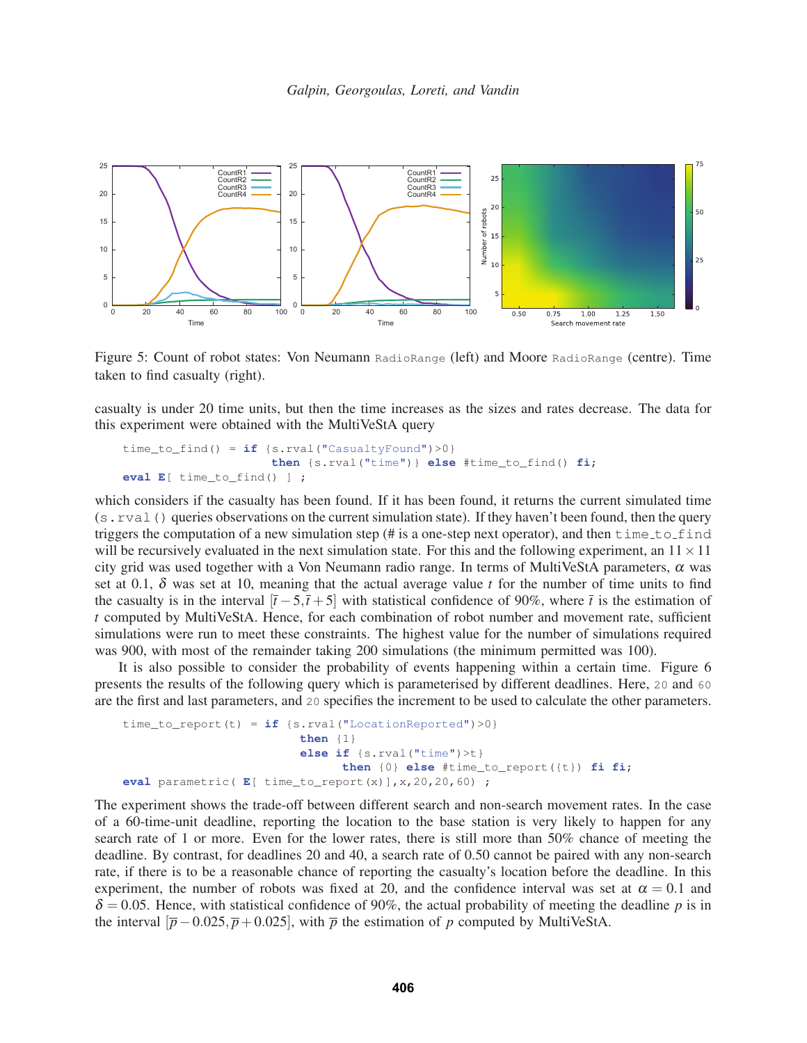

Figure 5: Count of robot states: Von Neumann RadioRange (left) and Moore RadioRange (centre). Time taken to find casualty (right).

casualty is under 20 time units, but then the time increases as the sizes and rates decrease. The data for this experiment were obtained with the MultiVeStA query

```
time_to_find() = if {s.rval("CasualtyFound")>0}then {s.rval("time")} else #time_to_find() fi;
eval E[ time_to_find() ] ;
```
which considers if the casualty has been found. If it has been found, it returns the current simulated time (s.rval() queries observations on the current simulation state). If they haven't been found, then the query triggers the computation of a new simulation step (# is a one-step next operator), and then  $time_to_f$ will be recursively evaluated in the next simulation state. For this and the following experiment, an  $11 \times 11$ city grid was used together with a Von Neumann radio range. In terms of MultiVeStA parameters,  $\alpha$  was set at 0.1,  $\delta$  was set at 10, meaning that the actual average value *t* for the number of time units to find the casualty is in the interval  $[\bar{t} - 5, \bar{t} + 5]$  with statistical confidence of 90%, where  $\bar{t}$  is the estimation of *t* computed by MultiVeStA. Hence, for each combination of robot number and movement rate, sufficient simulations were run to meet these constraints. The highest value for the number of simulations required was 900, with most of the remainder taking 200 simulations (the minimum permitted was 100).

It is also possible to consider the probability of events happening within a certain time. Figure 6 presents the results of the following query which is parameterised by different deadlines. Here, 20 and 60 are the first and last parameters, and 20 specifies the increment to be used to calculate the other parameters.

```
time_to_report(t) = if {s.rval("LocationReported")>0}
                         then {1}
                         else if {s.rval("time")>t}
                               then {0} else #time_to_report({t}) fi fi;
eval parametric( E[ time_to_report(x)],x,20,20,60) ;
```
The experiment shows the trade-off between different search and non-search movement rates. In the case of a 60-time-unit deadline, reporting the location to the base station is very likely to happen for any search rate of 1 or more. Even for the lower rates, there is still more than 50% chance of meeting the deadline. By contrast, for deadlines 20 and 40, a search rate of 0.50 cannot be paired with any non-search rate, if there is to be a reasonable chance of reporting the casualty's location before the deadline. In this experiment, the number of robots was fixed at 20, and the confidence interval was set at  $\alpha = 0.1$  and  $\delta = 0.05$ . Hence, with statistical confidence of 90%, the actual probability of meeting the deadline p is in the interval  $[\bar{p}-0.025, \bar{p}+0.025]$ , with  $\bar{p}$  the estimation of *p* computed by MultiVeStA.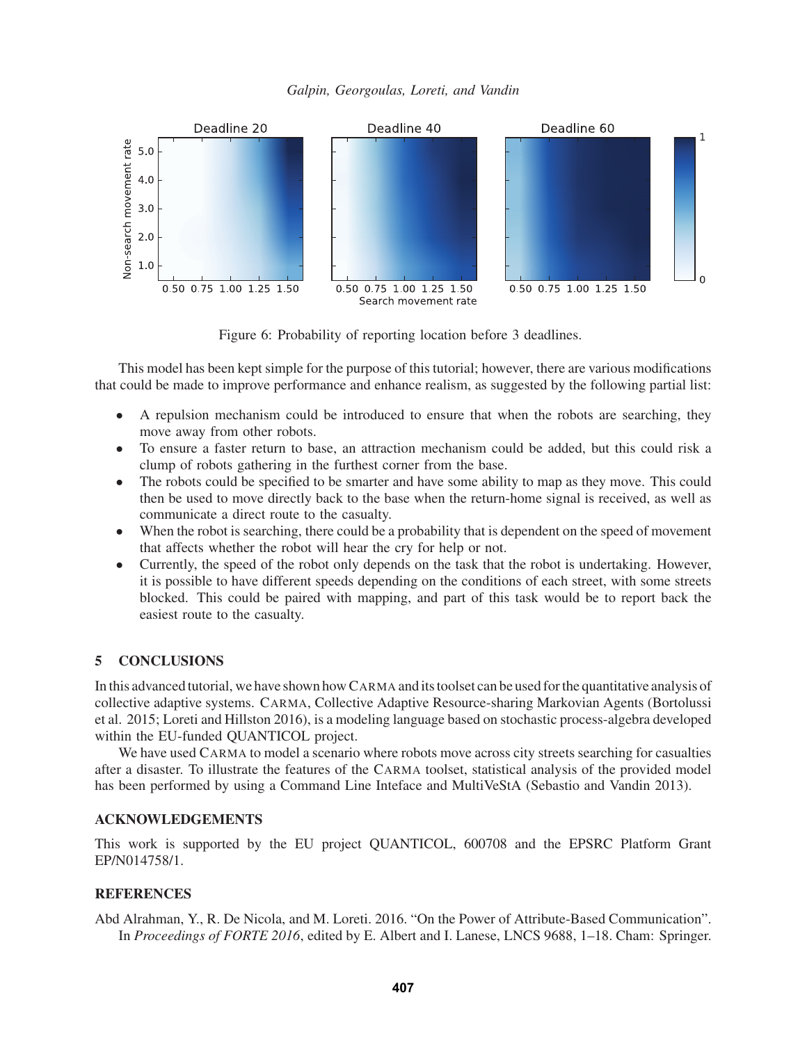



Figure 6: Probability of reporting location before 3 deadlines.

This model has been kept simple for the purpose of this tutorial; however, there are various modifications that could be made to improve performance and enhance realism, as suggested by the following partial list:

- A repulsion mechanism could be introduced to ensure that when the robots are searching, they move away from other robots.
- To ensure a faster return to base, an attraction mechanism could be added, but this could risk a clump of robots gathering in the furthest corner from the base.
- The robots could be specified to be smarter and have some ability to map as they move. This could then be used to move directly back to the base when the return-home signal is received, as well as communicate a direct route to the casualty.
- When the robot is searching, there could be a probability that is dependent on the speed of movement that affects whether the robot will hear the cry for help or not.
- Currently, the speed of the robot only depends on the task that the robot is undertaking. However, it is possible to have different speeds depending on the conditions of each street, with some streets blocked. This could be paired with mapping, and part of this task would be to report back the easiest route to the casualty.

# 5 CONCLUSIONS

In this advanced tutorial, we have shown how CARMA and its toolset can be used for the quantitative analysis of collective adaptive systems. CARMA, Collective Adaptive Resource-sharing Markovian Agents (Bortolussi et al. 2015; Loreti and Hillston 2016), is a modeling language based on stochastic process-algebra developed within the EU-funded QUANTICOL project.

We have used CARMA to model a scenario where robots move across city streets searching for casualties after a disaster. To illustrate the features of the CARMA toolset, statistical analysis of the provided model has been performed by using a Command Line Inteface and MultiVeStA (Sebastio and Vandin 2013).

## ACKNOWLEDGEMENTS

This work is supported by the EU project QUANTICOL, 600708 and the EPSRC Platform Grant EP/N014758/1.

## **REFERENCES**

Abd Alrahman, Y., R. De Nicola, and M. Loreti. 2016. "On the Power of Attribute-Based Communication". In *Proceedings of FORTE 2016*, edited by E. Albert and I. Lanese, LNCS 9688, 1–18. Cham: Springer.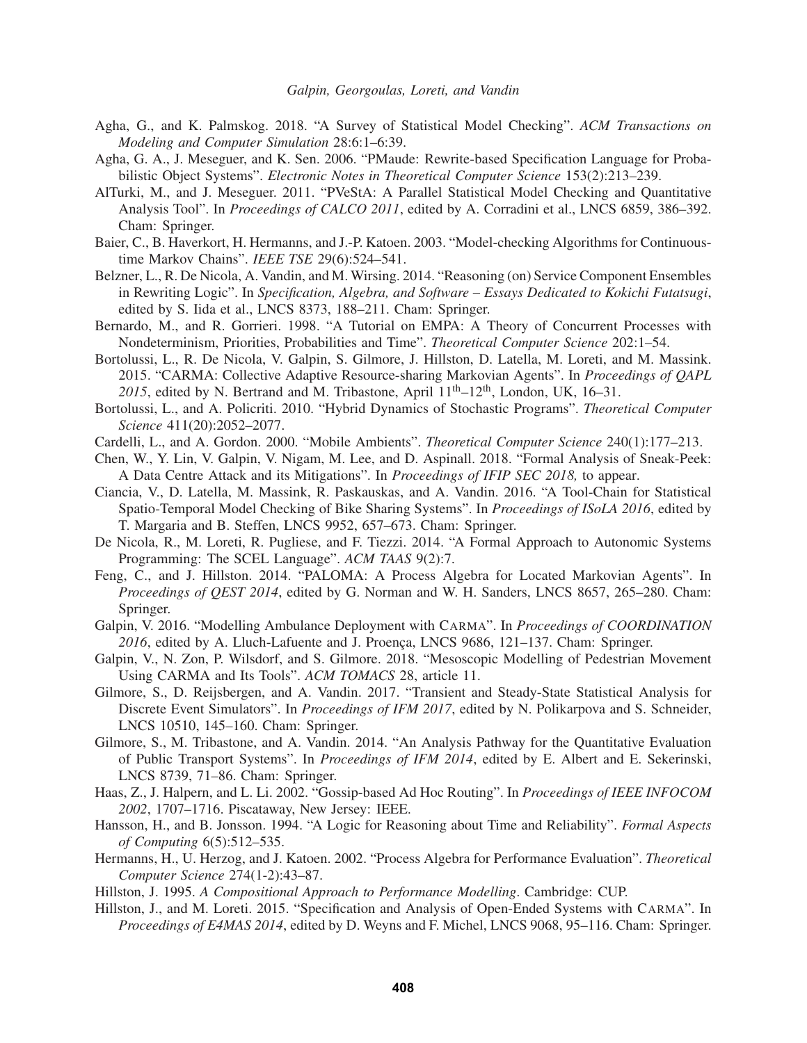- Agha, G., and K. Palmskog. 2018. "A Survey of Statistical Model Checking". *ACM Transactions on Modeling and Computer Simulation* 28:6:1–6:39.
- Agha, G. A., J. Meseguer, and K. Sen. 2006. "PMaude: Rewrite-based Specification Language for Probabilistic Object Systems". *Electronic Notes in Theoretical Computer Science* 153(2):213–239.
- AlTurki, M., and J. Meseguer. 2011. "PVeStA: A Parallel Statistical Model Checking and Quantitative Analysis Tool". In *Proceedings of CALCO 2011*, edited by A. Corradini et al., LNCS 6859, 386–392. Cham: Springer.
- Baier, C., B. Haverkort, H. Hermanns, and J.-P. Katoen. 2003. "Model-checking Algorithms for Continuoustime Markov Chains". *IEEE TSE* 29(6):524–541.
- Belzner, L., R. De Nicola, A. Vandin, and M. Wirsing. 2014. "Reasoning (on) Service Component Ensembles in Rewriting Logic". In *Specification, Algebra, and Software – Essays Dedicated to Kokichi Futatsugi*, edited by S. Iida et al., LNCS 8373, 188–211. Cham: Springer.
- Bernardo, M., and R. Gorrieri. 1998. "A Tutorial on EMPA: A Theory of Concurrent Processes with Nondeterminism, Priorities, Probabilities and Time". *Theoretical Computer Science* 202:1–54.
- Bortolussi, L., R. De Nicola, V. Galpin, S. Gilmore, J. Hillston, D. Latella, M. Loreti, and M. Massink. 2015. "CARMA: Collective Adaptive Resource-sharing Markovian Agents". In *Proceedings of QAPL* 2015, edited by N. Bertrand and M. Tribastone, April  $11^{th}$ – $12^{th}$ , London, UK, 16–31.
- Bortolussi, L., and A. Policriti. 2010. "Hybrid Dynamics of Stochastic Programs". *Theoretical Computer Science* 411(20):2052–2077.
- Cardelli, L., and A. Gordon. 2000. "Mobile Ambients". *Theoretical Computer Science* 240(1):177–213.
- Chen, W., Y. Lin, V. Galpin, V. Nigam, M. Lee, and D. Aspinall. 2018. "Formal Analysis of Sneak-Peek: A Data Centre Attack and its Mitigations". In *Proceedings of IFIP SEC 2018,* to appear.
- Ciancia, V., D. Latella, M. Massink, R. Paskauskas, and A. Vandin. 2016. "A Tool-Chain for Statistical Spatio-Temporal Model Checking of Bike Sharing Systems". In *Proceedings of ISoLA 2016*, edited by T. Margaria and B. Steffen, LNCS 9952, 657–673. Cham: Springer.
- De Nicola, R., M. Loreti, R. Pugliese, and F. Tiezzi. 2014. "A Formal Approach to Autonomic Systems Programming: The SCEL Language". *ACM TAAS* 9(2):7.
- Feng, C., and J. Hillston. 2014. "PALOMA: A Process Algebra for Located Markovian Agents". In *Proceedings of QEST 2014*, edited by G. Norman and W. H. Sanders, LNCS 8657, 265–280. Cham: Springer.
- Galpin, V. 2016. "Modelling Ambulance Deployment with CARMA". In *Proceedings of COORDINATION 2016*, edited by A. Lluch-Lafuente and J. Proenca, LNCS 9686, 121–137. Cham: Springer.
- Galpin, V., N. Zon, P. Wilsdorf, and S. Gilmore. 2018. "Mesoscopic Modelling of Pedestrian Movement Using CARMA and Its Tools". *ACM TOMACS* 28, article 11.
- Gilmore, S., D. Reijsbergen, and A. Vandin. 2017. "Transient and Steady-State Statistical Analysis for Discrete Event Simulators". In *Proceedings of IFM 2017*, edited by N. Polikarpova and S. Schneider, LNCS 10510, 145–160. Cham: Springer.
- Gilmore, S., M. Tribastone, and A. Vandin. 2014. "An Analysis Pathway for the Quantitative Evaluation of Public Transport Systems". In *Proceedings of IFM 2014*, edited by E. Albert and E. Sekerinski, LNCS 8739, 71–86. Cham: Springer.
- Haas, Z., J. Halpern, and L. Li. 2002. "Gossip-based Ad Hoc Routing". In *Proceedings of IEEE INFOCOM 2002*, 1707–1716. Piscataway, New Jersey: IEEE.
- Hansson, H., and B. Jonsson. 1994. "A Logic for Reasoning about Time and Reliability". *Formal Aspects of Computing* 6(5):512–535.
- Hermanns, H., U. Herzog, and J. Katoen. 2002. "Process Algebra for Performance Evaluation". *Theoretical Computer Science* 274(1-2):43–87.
- Hillston, J. 1995. *A Compositional Approach to Performance Modelling*. Cambridge: CUP.
- Hillston, J., and M. Loreti. 2015. "Specification and Analysis of Open-Ended Systems with CARMA". In *Proceedings of E4MAS 2014*, edited by D. Weyns and F. Michel, LNCS 9068, 95–116. Cham: Springer.